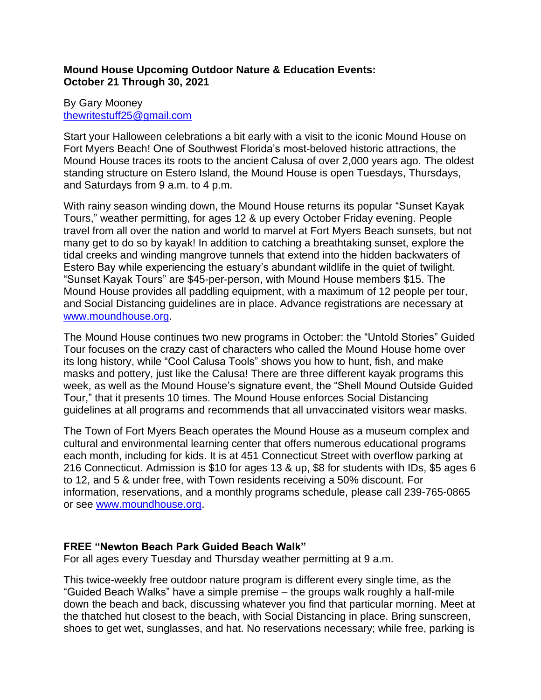# **Mound House Upcoming Outdoor Nature & Education Events: October 21 Through 30, 2021**

### By Gary Mooney [thewritestuff25@gmail.com](mailto:thewritestuff25@gmail.com)

Start your Halloween celebrations a bit early with a visit to the iconic Mound House on Fort Myers Beach! One of Southwest Florida's most-beloved historic attractions, the Mound House traces its roots to the ancient Calusa of over 2,000 years ago. The oldest standing structure on Estero Island, the Mound House is open Tuesdays, Thursdays, and Saturdays from 9 a.m. to 4 p.m.

With rainy season winding down, the Mound House returns its popular "Sunset Kayak Tours," weather permitting, for ages 12 & up every October Friday evening. People travel from all over the nation and world to marvel at Fort Myers Beach sunsets, but not many get to do so by kayak! In addition to catching a breathtaking sunset, explore the tidal creeks and winding mangrove tunnels that extend into the hidden backwaters of Estero Bay while experiencing the estuary's abundant wildlife in the quiet of twilight. "Sunset Kayak Tours" are \$45-per-person, with Mound House members \$15. The Mound House provides all paddling equipment, with a maximum of 12 people per tour, and Social Distancing guidelines are in place. Advance registrations are necessary at [www.moundhouse.org.](http://www.moundhouse.org/)

The Mound House continues two new programs in October: the "Untold Stories" Guided Tour focuses on the crazy cast of characters who called the Mound House home over its long history, while "Cool Calusa Tools" shows you how to hunt, fish, and make masks and pottery, just like the Calusa! There are three different kayak programs this week, as well as the Mound House's signature event, the "Shell Mound Outside Guided Tour," that it presents 10 times. The Mound House enforces Social Distancing guidelines at all programs and recommends that all unvaccinated visitors wear masks.

The Town of Fort Myers Beach operates the Mound House as a museum complex and cultural and environmental learning center that offers numerous educational programs each month, including for kids. It is at 451 Connecticut Street with overflow parking at 216 Connecticut. Admission is \$10 for ages 13 & up, \$8 for students with IDs, \$5 ages 6 to 12, and 5 & under free, with Town residents receiving a 50% discount. For information, reservations, and a monthly programs schedule, please call 239-765-0865 or see [www.moundhouse.org.](http://www.moundhouse.org/)

# **FREE "Newton Beach Park Guided Beach Walk"**

For all ages every Tuesday and Thursday weather permitting at 9 a.m.

This twice-weekly free outdoor nature program is different every single time, as the "Guided Beach Walks" have a simple premise – the groups walk roughly a half-mile down the beach and back, discussing whatever you find that particular morning. Meet at the thatched hut closest to the beach, with Social Distancing in place. Bring sunscreen, shoes to get wet, sunglasses, and hat. No reservations necessary; while free, parking is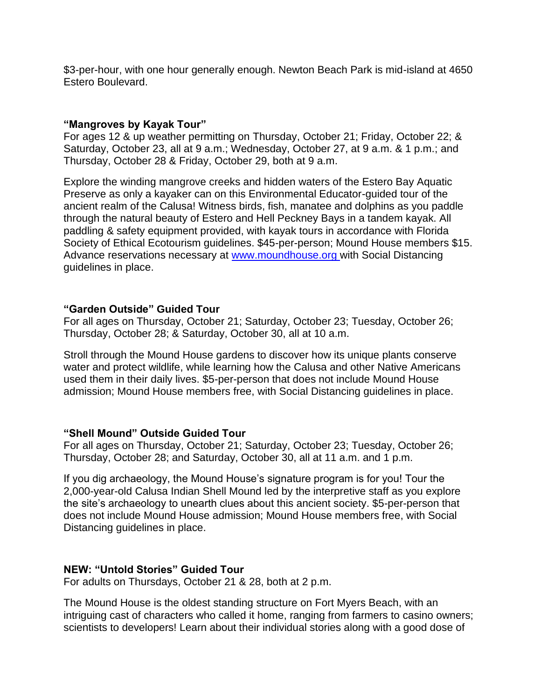\$3-per-hour, with one hour generally enough. Newton Beach Park is mid-island at 4650 Estero Boulevard.

### **"Mangroves by Kayak Tour"**

For ages 12 & up weather permitting on Thursday, October 21; Friday, October 22; & Saturday, October 23, all at 9 a.m.; Wednesday, October 27, at 9 a.m. & 1 p.m.; and Thursday, October 28 & Friday, October 29, both at 9 a.m.

Explore the winding mangrove creeks and hidden waters of the Estero Bay Aquatic Preserve as only a kayaker can on this Environmental Educator-guided tour of the ancient realm of the Calusa! Witness birds, fish, manatee and dolphins as you paddle through the natural beauty of Estero and Hell Peckney Bays in a tandem kayak. All paddling & safety equipment provided, with kayak tours in accordance with Florida Society of Ethical Ecotourism guidelines. \$45-per-person; Mound House members \$15. Advance reservations necessary at [www.moundhouse.org](http://www.moundhouse.org/) with Social Distancing guidelines in place.

### **"Garden Outside" Guided Tour**

For all ages on Thursday, October 21; Saturday, October 23; Tuesday, October 26; Thursday, October 28; & Saturday, October 30, all at 10 a.m.

Stroll through the Mound House gardens to discover how its unique plants conserve water and protect wildlife, while learning how the Calusa and other Native Americans used them in their daily lives. \$5-per-person that does not include Mound House admission; Mound House members free, with Social Distancing guidelines in place.

### **"Shell Mound" Outside Guided Tour**

For all ages on Thursday, October 21; Saturday, October 23; Tuesday, October 26; Thursday, October 28; and Saturday, October 30, all at 11 a.m. and 1 p.m.

If you dig archaeology, the Mound House's signature program is for you! Tour the 2,000-year-old Calusa Indian Shell Mound led by the interpretive staff as you explore the site's archaeology to unearth clues about this ancient society. \$5-per-person that does not include Mound House admission; Mound House members free, with Social Distancing guidelines in place.

# **NEW: "Untold Stories" Guided Tour**

For adults on Thursdays, October 21 & 28, both at 2 p.m.

The Mound House is the oldest standing structure on Fort Myers Beach, with an intriguing cast of characters who called it home, ranging from farmers to casino owners; scientists to developers! Learn about their individual stories along with a good dose of